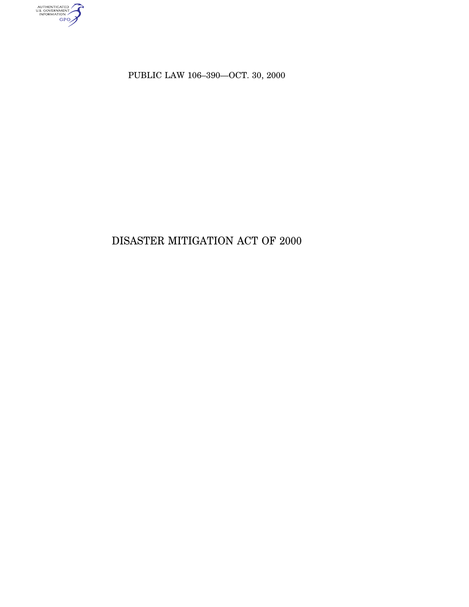AUTHENTICATED<br>U.S. GOVERNMENT<br>INFORMATION<br>GPO

PUBLIC LAW 106–390—OCT. 30, 2000

# DISASTER MITIGATION ACT OF 2000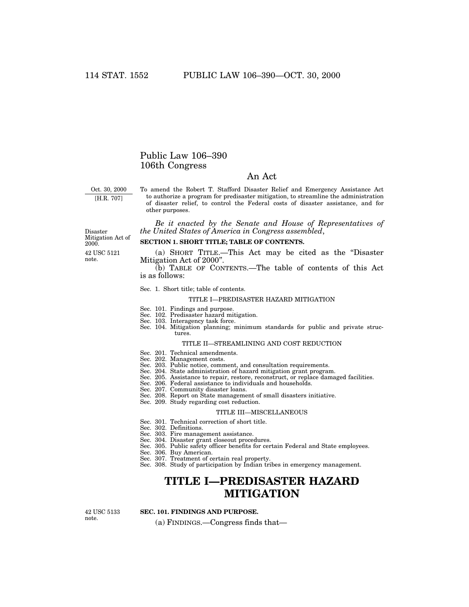## Public Law 106–390 106th Congress

## An Act

Oct. 30, 2000 [H.R. 707]

To amend the Robert T. Stafford Disaster Relief and Emergency Assistance Act to authorize a program for predisaster mitigation, to streamline the administration of disaster relief, to control the Federal costs of disaster assistance, and for other purposes.

*Be it enacted by the Senate and House of Representatives of the United States of America in Congress assembled*,

42 USC 5121 note. Disaster Mitigation Act of 2000.

## **SECTION 1. SHORT TITLE; TABLE OF CONTENTS.**

(a) SHORT TITLE.—This Act may be cited as the ''Disaster Mitigation Act of 2000''.

(b) TABLE OF CONTENTS.—The table of contents of this Act is as follows:

Sec. 1. Short title; table of contents.

#### TITLE I—PREDISASTER HAZARD MITIGATION

Sec. 101. Findings and purpose.

- Sec. 102. Predisaster hazard mitigation.
- Sec. 103. Interagency task force.
- Sec. 104. Mitigation planning; minimum standards for public and private structures.

#### TITLE II—STREAMLINING AND COST REDUCTION

- Sec. 201. Technical amendments.
- Sec. 202. Management costs.
- Sec. 203. Public notice, comment, and consultation requirements.
- Sec. 204. State administration of hazard mitigation grant program.
- Sec. 205. Assistance to repair, restore, reconstruct, or replace damaged facilities.
	- Sec. 206. Federal assistance to individuals and households.
	- Sec. 207. Community disaster loans.
	- Sec. 208. Report on State management of small disasters initiative.
	- Sec. 209. Study regarding cost reduction.

## TITLE III—MISCELLANEOUS

- Sec. 301. Technical correction of short title.
- Sec. 302. Definitions.
- Sec. 303. Fire management assistance.
- Sec. 304. Disaster grant closeout procedures.
- Sec. 305. Public safety officer benefits for certain Federal and State employees.
- Sec. 306. Buy American.
- Sec. 307. Treatment of certain real property.
- Sec. 308. Study of participation by Indian tribes in emergency management.

## **TITLE I—PREDISASTER HAZARD MITIGATION**

42 USC 5133 note.

#### **SEC. 101. FINDINGS AND PURPOSE.**

(a) FINDINGS.—Congress finds that—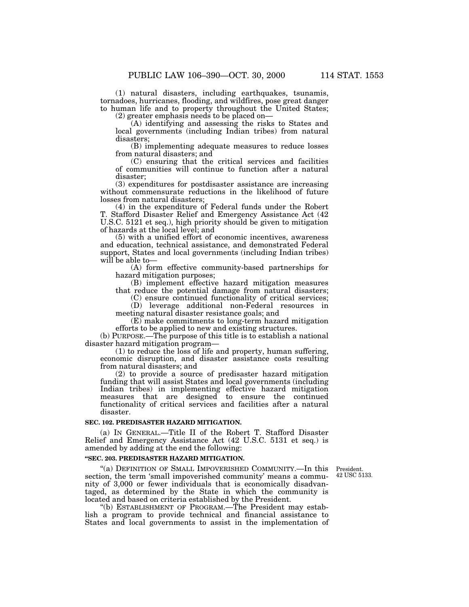(1) natural disasters, including earthquakes, tsunamis, tornadoes, hurricanes, flooding, and wildfires, pose great danger to human life and to property throughout the United States; (2) greater emphasis needs to be placed on—

(A) identifying and assessing the risks to States and local governments (including Indian tribes) from natural disasters;

(B) implementing adequate measures to reduce losses from natural disasters; and

(C) ensuring that the critical services and facilities of communities will continue to function after a natural disaster;

(3) expenditures for postdisaster assistance are increasing without commensurate reductions in the likelihood of future losses from natural disasters;

(4) in the expenditure of Federal funds under the Robert T. Stafford Disaster Relief and Emergency Assistance Act (42 U.S.C. 5121 et seq.), high priority should be given to mitigation of hazards at the local level; and

(5) with a unified effort of economic incentives, awareness and education, technical assistance, and demonstrated Federal support, States and local governments (including Indian tribes) will be able to-

(A) form effective community-based partnerships for hazard mitigation purposes;

(B) implement effective hazard mitigation measures that reduce the potential damage from natural disasters;

(C) ensure continued functionality of critical services; (D) leverage additional non-Federal resources in

meeting natural disaster resistance goals; and

(E) make commitments to long-term hazard mitigation efforts to be applied to new and existing structures.

(b) PURPOSE.—The purpose of this title is to establish a national disaster hazard mitigation program—

(1) to reduce the loss of life and property, human suffering, economic disruption, and disaster assistance costs resulting from natural disasters; and

(2) to provide a source of predisaster hazard mitigation funding that will assist States and local governments (including Indian tribes) in implementing effective hazard mitigation measures that are designed to ensure the continued functionality of critical services and facilities after a natural disaster.

#### **SEC. 102. PREDISASTER HAZARD MITIGATION.**

(a) IN GENERAL.—Title II of the Robert T. Stafford Disaster Relief and Emergency Assistance Act (42 U.S.C. 5131 et seq.) is amended by adding at the end the following:

#### **''SEC. 203. PREDISASTER HAZARD MITIGATION.**

"(a) DEFINITION OF SMALL IMPOVERISHED COMMUNITY.—In this section, the term 'small impoverished community' means a community of 3,000 or fewer individuals that is economically disadvantaged, as determined by the State in which the community is located and based on criteria established by the President.

''(b) ESTABLISHMENT OF PROGRAM.—The President may establish a program to provide technical and financial assistance to States and local governments to assist in the implementation of

President. 42 USC 5133.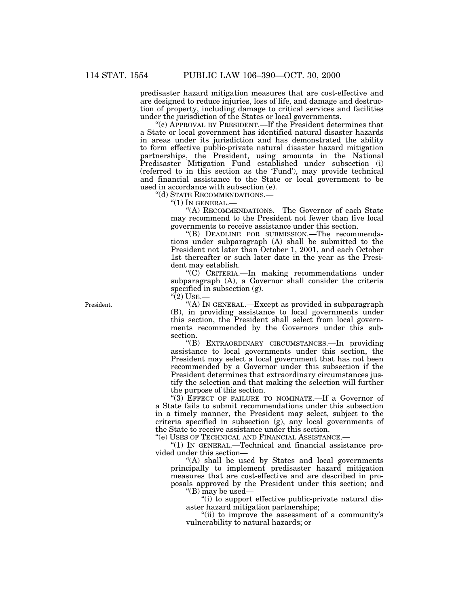predisaster hazard mitigation measures that are cost-effective and are designed to reduce injuries, loss of life, and damage and destruction of property, including damage to critical services and facilities under the jurisdiction of the States or local governments.

''(c) APPROVAL BY PRESIDENT.—If the President determines that a State or local government has identified natural disaster hazards in areas under its jurisdiction and has demonstrated the ability to form effective public-private natural disaster hazard mitigation partnerships, the President, using amounts in the National Predisaster Mitigation Fund established under subsection (i) (referred to in this section as the 'Fund'), may provide technical and financial assistance to the State or local government to be used in accordance with subsection (e).

''(d) STATE RECOMMENDATIONS.—

 $"(1)$  In general. $-$ 

''(A) RECOMMENDATIONS.—The Governor of each State may recommend to the President not fewer than five local governments to receive assistance under this section.

''(B) DEADLINE FOR SUBMISSION.—The recommendations under subparagraph (A) shall be submitted to the President not later than October 1, 2001, and each October 1st thereafter or such later date in the year as the President may establish.

''(C) CRITERIA.—In making recommendations under subparagraph (A), a Governor shall consider the criteria specified in subsection (g).

 $\cdot$ <sup>(2)</sup> Use.—

''(A) IN GENERAL.—Except as provided in subparagraph (B), in providing assistance to local governments under this section, the President shall select from local governments recommended by the Governors under this subsection.

''(B) EXTRAORDINARY CIRCUMSTANCES.—In providing assistance to local governments under this section, the President may select a local government that has not been recommended by a Governor under this subsection if the President determines that extraordinary circumstances justify the selection and that making the selection will further the purpose of this section.

"(3) EFFECT OF FAILURE TO NOMINATE.—If a Governor of a State fails to submit recommendations under this subsection in a timely manner, the President may select, subject to the criteria specified in subsection (g), any local governments of the State to receive assistance under this section.

''(e) USES OF TECHNICAL AND FINANCIAL ASSISTANCE.—

" $(1)$  In GENERAL.—Technical and financial assistance provided under this section—

"(A) shall be used by States and local governments principally to implement predisaster hazard mitigation measures that are cost-effective and are described in proposals approved by the President under this section; and ''(B) may be used—

"(i) to support effective public-private natural disaster hazard mitigation partnerships;

"(ii) to improve the assessment of a community's vulnerability to natural hazards; or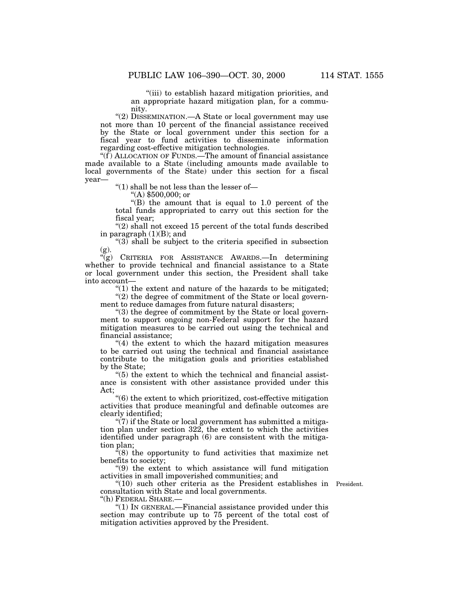''(iii) to establish hazard mitigation priorities, and an appropriate hazard mitigation plan, for a community.

"(2) DISSEMINATION.—A State or local government may use not more than 10 percent of the financial assistance received by the State or local government under this section for a fiscal year to fund activities to disseminate information regarding cost-effective mitigation technologies.

" $(f)$  ALLOCATION OF FUNDS.—The amount of financial assistance made available to a State (including amounts made available to local governments of the State) under this section for a fiscal year—

''(1) shall be not less than the lesser of—

''(A) \$500,000; or

 $'(B)$  the amount that is equal to 1.0 percent of the total funds appropriated to carry out this section for the fiscal year;

"(2) shall not exceed 15 percent of the total funds described in paragraph  $(1)(B)$ ; and

 $(3)$  shall be subject to the criteria specified in subsection (g).

''(g) CRITERIA FOR ASSISTANCE AWARDS.—In determining whether to provide technical and financial assistance to a State or local government under this section, the President shall take into account—

" $(1)$  the extent and nature of the hazards to be mitigated;

"(2) the degree of commitment of the State or local government to reduce damages from future natural disasters;

" $(3)$  the degree of commitment by the State or local government to support ongoing non-Federal support for the hazard mitigation measures to be carried out using the technical and financial assistance;

"(4) the extent to which the hazard mitigation measures to be carried out using the technical and financial assistance contribute to the mitigation goals and priorities established by the State;

 $(5)$  the extent to which the technical and financial assistance is consistent with other assistance provided under this Act;

''(6) the extent to which prioritized, cost-effective mitigation activities that produce meaningful and definable outcomes are clearly identified;

" $(7)$  if the State or local government has submitted a mitigation plan under section 322, the extent to which the activities identified under paragraph (6) are consistent with the mitigation plan;

 $(8)$  the opportunity to fund activities that maximize net benefits to society;

"(9) the extent to which assistance will fund mitigation activities in small impoverished communities; and

"(10) such other criteria as the President establishes in President. consultation with State and local governments.

''(h) FEDERAL SHARE.—

 $\degree$ (1) In GENERAL.—Financial assistance provided under this section may contribute up to 75 percent of the total cost of mitigation activities approved by the President.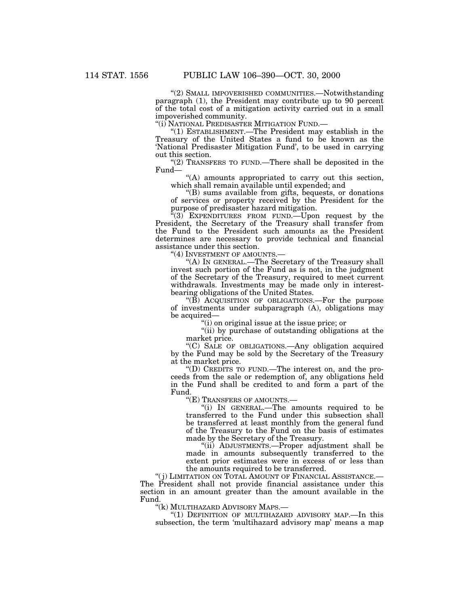''(2) SMALL IMPOVERISHED COMMUNITIES.—Notwithstanding paragraph (1), the President may contribute up to 90 percent of the total cost of a mitigation activity carried out in a small impoverished community.

''(i) NATIONAL PREDISASTER MITIGATION FUND.—

''(1) ESTABLISHMENT.—The President may establish in the Treasury of the United States a fund to be known as the 'National Predisaster Mitigation Fund', to be used in carrying out this section.

"(2) TRANSFERS TO FUND.—There shall be deposited in the Fund—

"(A) amounts appropriated to carry out this section, which shall remain available until expended; and

''(B) sums available from gifts, bequests, or donations of services or property received by the President for the purpose of predisaster hazard mitigation.

''(3) EXPENDITURES FROM FUND.—Upon request by the President, the Secretary of the Treasury shall transfer from the Fund to the President such amounts as the President determines are necessary to provide technical and financial assistance under this section.

"(4) INVESTMENT OF AMOUNTS.-

''(A) IN GENERAL.—The Secretary of the Treasury shall invest such portion of the Fund as is not, in the judgment of the Secretary of the Treasury, required to meet current withdrawals. Investments may be made only in interestbearing obligations of the United States.

"(B) ACQUISITION OF OBLIGATIONS.—For the purpose" of investments under subparagraph (A), obligations may be acquired—

''(i) on original issue at the issue price; or

''(ii) by purchase of outstanding obligations at the market price.

''(C) SALE OF OBLIGATIONS.—Any obligation acquired by the Fund may be sold by the Secretary of the Treasury at the market price.

''(D) CREDITS TO FUND.—The interest on, and the proceeds from the sale or redemption of, any obligations held in the Fund shall be credited to and form a part of the Fund.

''(E) TRANSFERS OF AMOUNTS.—

''(i) IN GENERAL.—The amounts required to be transferred to the Fund under this subsection shall be transferred at least monthly from the general fund of the Treasury to the Fund on the basis of estimates made by the Secretary of the Treasury.

''(ii) ADJUSTMENTS.—Proper adjustment shall be made in amounts subsequently transferred to the extent prior estimates were in excess of or less than the amounts required to be transferred.

''( j) LIMITATION ON TOTAL AMOUNT OF FINANCIAL ASSISTANCE.— The President shall not provide financial assistance under this section in an amount greater than the amount available in the Fund.

''(k) MULTIHAZARD ADVISORY MAPS.—

"(1) DEFINITION OF MULTIHAZARD ADVISORY MAP.—In this subsection, the term 'multihazard advisory map' means a map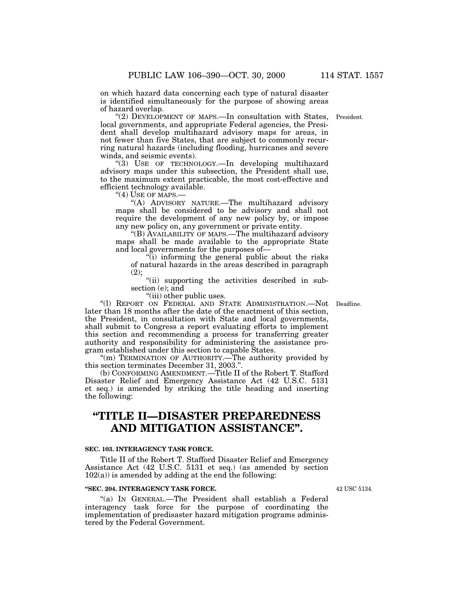on which hazard data concerning each type of natural disaster is identified simultaneously for the purpose of showing areas of hazard overlap.

"(2) DEVELOPMENT OF MAPS.—In consultation with States, President. local governments, and appropriate Federal agencies, the President shall develop multihazard advisory maps for areas, in not fewer than five States, that are subject to commonly recurring natural hazards (including flooding, hurricanes and severe winds, and seismic events).

''(3) USE OF TECHNOLOGY.—In developing multihazard advisory maps under this subsection, the President shall use, to the maximum extent practicable, the most cost-effective and efficient technology available.

"(4) USE OF MAPS. $-$ 

''(A) ADVISORY NATURE.—The multihazard advisory maps shall be considered to be advisory and shall not require the development of any new policy by, or impose any new policy on, any government or private entity.

''(B) AVAILABILITY OF MAPS.—The multihazard advisory maps shall be made available to the appropriate State and local governments for the purposes of—

"(i) informing the general public about the risks of natural hazards in the areas described in paragraph (2);

"(ii) supporting the activities described in subsection (e); and

"(iii) other public uses.

''(l) REPORT ON FEDERAL AND STATE ADMINISTRATION.—Not Deadline. later than 18 months after the date of the enactment of this section, the President, in consultation with State and local governments, shall submit to Congress a report evaluating efforts to implement this section and recommending a process for transferring greater authority and responsibility for administering the assistance program established under this section to capable States.

"(m) TERMINATION OF AUTHORITY.—The authority provided by this section terminates December 31, 2003.''.

(b) CONFORMING AMENDMENT.—Title II of the Robert T. Stafford Disaster Relief and Emergency Assistance Act (42 U.S.C. 5131 et seq.) is amended by striking the title heading and inserting the following:

## **''TITLE II—DISASTER PREPAREDNESS AND MITIGATION ASSISTANCE''.**

#### **SEC. 103. INTERAGENCY TASK FORCE.**

Title II of the Robert T. Stafford Disaster Relief and Emergency Assistance Act (42 U.S.C. 5131 et seq.) (as amended by section  $102(a)$ ) is amended by adding at the end the following:

### **''SEC. 204. INTERAGENCY TASK FORCE.**

''(a) IN GENERAL.—The President shall establish a Federal interagency task force for the purpose of coordinating the implementation of predisaster hazard mitigation programs administered by the Federal Government.

42 USC 5134.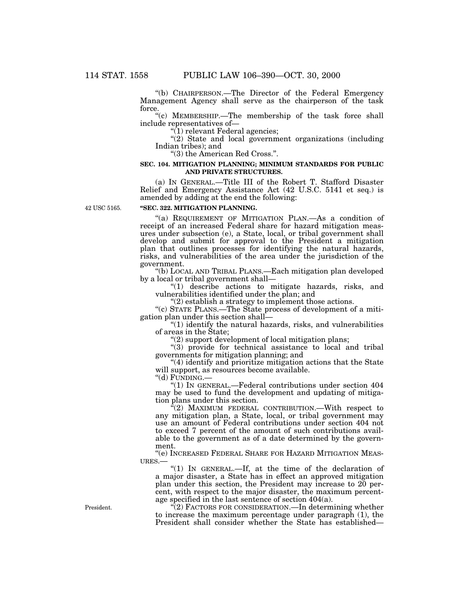''(b) CHAIRPERSON.—The Director of the Federal Emergency Management Agency shall serve as the chairperson of the task force.

''(c) MEMBERSHIP.—The membership of the task force shall include representatives of—

''(1) relevant Federal agencies;

"(2) State and local government organizations (including Indian tribes); and

''(3) the American Red Cross.''.

## **SEC. 104. MITIGATION PLANNING; MINIMUM STANDARDS FOR PUBLIC AND PRIVATE STRUCTURES.**

(a) IN GENERAL.—Title III of the Robert T. Stafford Disaster Relief and Emergency Assistance Act (42 U.S.C. 5141 et seq.) is amended by adding at the end the following:

42 USC 5165.

#### **''SEC. 322. MITIGATION PLANNING.**

"(a) REQUIREMENT OF MITIGATION PLAN.—As a condition of receipt of an increased Federal share for hazard mitigation measures under subsection (e), a State, local, or tribal government shall develop and submit for approval to the President a mitigation plan that outlines processes for identifying the natural hazards, risks, and vulnerabilities of the area under the jurisdiction of the government.

''(b) LOCAL AND TRIBAL PLANS.—Each mitigation plan developed by a local or tribal government shall—

"(1) describe actions to mitigate hazards, risks, and vulnerabilities identified under the plan; and

''(2) establish a strategy to implement those actions.

''(c) STATE PLANS.—The State process of development of a mitigation plan under this section shall—

''(1) identify the natural hazards, risks, and vulnerabilities of areas in the State;

''(2) support development of local mitigation plans;

"(3) provide for technical assistance to local and tribal governments for mitigation planning; and

"(4) identify and prioritize mitigation actions that the State will support, as resources become available.<br>"(d) FUNDING.—

"(1) In GENERAL.—Federal contributions under section  $404$ may be used to fund the development and updating of mitigation plans under this section.

 $C(2)$  MAXIMUM FEDERAL CONTRIBUTION.—With respect to any mitigation plan, a State, local, or tribal government may use an amount of Federal contributions under section 404 not to exceed 7 percent of the amount of such contributions available to the government as of a date determined by the government.

''(e) INCREASED FEDERAL SHARE FOR HAZARD MITIGATION MEAS-URES.—

"(1) IN GENERAL.—If, at the time of the declaration of a major disaster, a State has in effect an approved mitigation plan under this section, the President may increase to 20 percent, with respect to the major disaster, the maximum percentage specified in the last sentence of section 404(a).

''(2) FACTORS FOR CONSIDERATION.—In determining whether to increase the maximum percentage under paragraph (1), the President shall consider whether the State has established—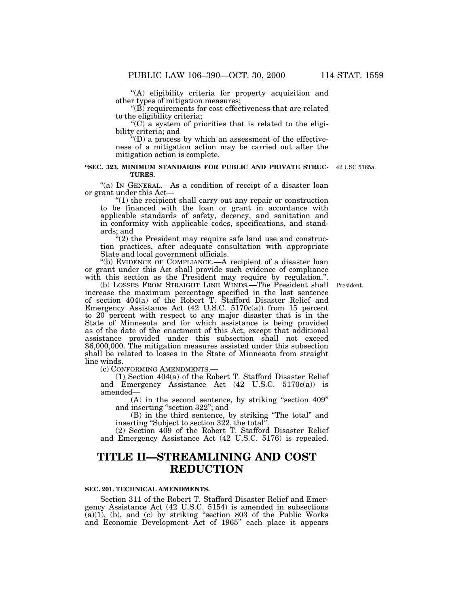''(A) eligibility criteria for property acquisition and other types of mitigation measures;

" $(\tilde{B})$  requirements for cost effectiveness that are related to the eligibility criteria;

 $(C)$  a system of priorities that is related to the eligibility criteria; and

''(D) a process by which an assessment of the effectiveness of a mitigation action may be carried out after the mitigation action is complete.

#### **''SEC. 323. MINIMUM STANDARDS FOR PUBLIC AND PRIVATE STRUC-**42 USC 5165a. **TURES.**

"(a) IN GENERAL.—As a condition of receipt of a disaster loan or grant under this Act—

 $''(1)$  the recipient shall carry out any repair or construction to be financed with the loan or grant in accordance with applicable standards of safety, decency, and sanitation and in conformity with applicable codes, specifications, and standards; and

"(2) the President may require safe land use and construction practices, after adequate consultation with appropriate State and local government officials.

''(b) EVIDENCE OF COMPLIANCE.—A recipient of a disaster loan or grant under this Act shall provide such evidence of compliance with this section as the President may require by regulation.".

(b) LOSSES FROM STRAIGHT LINE WINDS.—The President shall President. increase the maximum percentage specified in the last sentence of section 404(a) of the Robert T. Stafford Disaster Relief and Emergency Assistance Act (42 U.S.C. 5170c(a)) from 15 percent to 20 percent with respect to any major disaster that is in the State of Minnesota and for which assistance is being provided as of the date of the enactment of this Act, except that additional assistance provided under this subsection shall not exceed \$6,000,000. The mitigation measures assisted under this subsection shall be related to losses in the State of Minnesota from straight line winds.

(c) CONFORMING AMENDMENTS.—

(1) Section 404(a) of the Robert T. Stafford Disaster Relief and Emergency Assistance Act (42 U.S.C. 5170c(a)) is amended—

(A) in the second sentence, by striking ''section 409'' and inserting ''section 322''; and

(B) in the third sentence, by striking ''The total'' and inserting ''Subject to section 322, the total''.

(2) Section 409 of the Robert T. Stafford Disaster Relief and Emergency Assistance Act (42 U.S.C. 5176) is repealed.

## **TITLE II—STREAMLINING AND COST REDUCTION**

#### **SEC. 201. TECHNICAL AMENDMENTS.**

Section 311 of the Robert T. Stafford Disaster Relief and Emergency Assistance Act (42 U.S.C. 5154) is amended in subsections (a)(1), (b), and (c) by striking ''section 803 of the Public Works and Economic Development Act of 1965'' each place it appears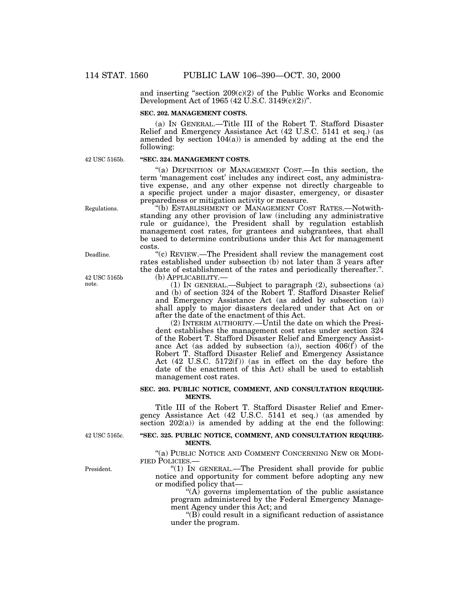and inserting "section  $209(c)(2)$  of the Public Works and Economic Development Act of 1965 (42 U.S.C. 3149(c)(2))''.

## **SEC. 202. MANAGEMENT COSTS.**

(a) IN GENERAL.—Title III of the Robert T. Stafford Disaster Relief and Emergency Assistance Act (42 U.S.C. 5141 et seq.) (as amended by section 104(a)) is amended by adding at the end the following:

42 USC 5165b.

## **''SEC. 324. MANAGEMENT COSTS.**

"(a) DEFINITION OF MANAGEMENT COST.—In this section, the term 'management cost' includes any indirect cost, any administrative expense, and any other expense not directly chargeable to a specific project under a major disaster, emergency, or disaster preparedness or mitigation activity or measure.

''(b) ESTABLISHMENT OF MANAGEMENT COST RATES.—Notwithstanding any other provision of law (including any administrative rule or guidance), the President shall by regulation establish management cost rates, for grantees and subgrantees, that shall be used to determine contributions under this Act for management costs.

''(c) REVIEW.—The President shall review the management cost rates established under subsection (b) not later than 3 years after the date of establishment of the rates and periodically thereafter.''.

(b) APPLICABILITY.—

(1) IN GENERAL.—Subject to paragraph (2), subsections (a) and (b) of section 324 of the Robert T. Stafford Disaster Relief and Emergency Assistance Act (as added by subsection (a)) shall apply to major disasters declared under that Act on or after the date of the enactment of this Act.

(2) INTERIM AUTHORITY.—Until the date on which the President establishes the management cost rates under section 324 of the Robert T. Stafford Disaster Relief and Emergency Assistance Act (as added by subsection (a)), section  $\overline{406(f)}$  of the Robert T. Stafford Disaster Relief and Emergency Assistance Act (42 U.S.C. 5172(f )) (as in effect on the day before the date of the enactment of this Act) shall be used to establish management cost rates.

## **SEC. 203. PUBLIC NOTICE, COMMENT, AND CONSULTATION REQUIRE-MENTS.**

Title III of the Robert T. Stafford Disaster Relief and Emergency Assistance Act (42 U.S.C. 5141 et seq.) (as amended by section  $202(a)$  is amended by adding at the end the following:

42 USC 5165c.

## **''SEC. 325. PUBLIC NOTICE, COMMENT, AND CONSULTATION REQUIRE-MENTS.**

''(a) PUBLIC NOTICE AND COMMENT CONCERNING NEW OR MODI-FIED POLICIES.—

"(1) In GENERAL.—The President shall provide for public notice and opportunity for comment before adopting any new or modified policy that—

" $(A)$  governs implementation of the public assistance program administered by the Federal Emergency Management Agency under this Act; and

 $\mathrm{``(B)}$  could result in a significant reduction of assistance under the program.

Regulations.

Deadline.

42 USC 5165b note.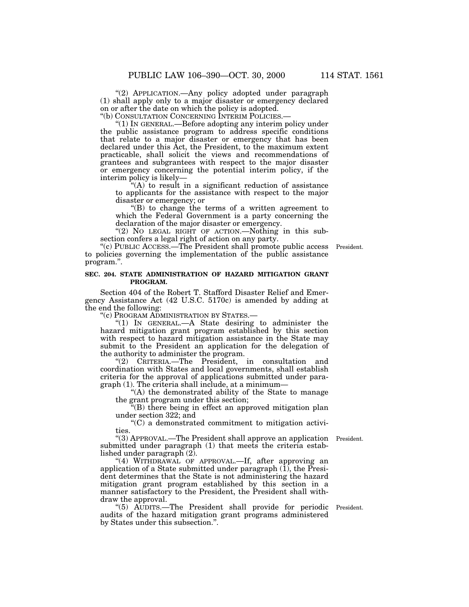''(2) APPLICATION.—Any policy adopted under paragraph (1) shall apply only to a major disaster or emergency declared on or after the date on which the policy is adopted.

''(b) CONSULTATION CONCERNING INTERIM POLICIES.—

''(1) IN GENERAL.—Before adopting any interim policy under the public assistance program to address specific conditions that relate to a major disaster or emergency that has been declared under this Act, the President, to the maximum extent practicable, shall solicit the views and recommendations of grantees and subgrantees with respect to the major disaster or emergency concerning the potential interim policy, if the interim policy is likely—

''(A) to result in a significant reduction of assistance to applicants for the assistance with respect to the major disaster or emergency; or

 $\mathrm{H}(B)$  to change the terms of a written agreement to which the Federal Government is a party concerning the declaration of the major disaster or emergency.

"(2) NO LEGAL RIGHT OF ACTION.—Nothing in this subsection confers a legal right of action on any party.

''(c) PUBLIC ACCESS.—The President shall promote public access to policies governing the implementation of the public assistance program.''.

## **SEC. 204. STATE ADMINISTRATION OF HAZARD MITIGATION GRANT PROGRAM.**

Section 404 of the Robert T. Stafford Disaster Relief and Emergency Assistance Act (42 U.S.C. 5170c) is amended by adding at the end the following:

''(c) PROGRAM ADMINISTRATION BY STATES.—

''(1) IN GENERAL.—A State desiring to administer the hazard mitigation grant program established by this section with respect to hazard mitigation assistance in the State may submit to the President an application for the delegation of the authority to administer the program.

''(2) CRITERIA.—The President, in consultation and coordination with States and local governments, shall establish criteria for the approval of applications submitted under paragraph (1). The criteria shall include, at a minimum—

''(A) the demonstrated ability of the State to manage the grant program under this section;

''(B) there being in effect an approved mitigation plan under section 322; and

''(C) a demonstrated commitment to mitigation activities.

"(3) APPROVAL.—The President shall approve an application President. submitted under paragraph (1) that meets the criteria established under paragraph (2).

"(4) WITHDRAWAL OF APPROVAL.-If, after approving an application of a State submitted under paragraph  $(1)$ , the President determines that the State is not administering the hazard mitigation grant program established by this section in a manner satisfactory to the President, the President shall withdraw the approval.

''(5) AUDITS.—The President shall provide for periodic President. audits of the hazard mitigation grant programs administered by States under this subsection.''.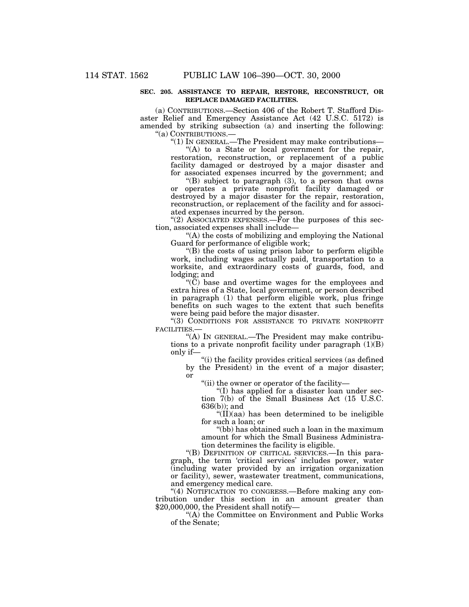#### **SEC. 205. ASSISTANCE TO REPAIR, RESTORE, RECONSTRUCT, OR REPLACE DAMAGED FACILITIES.**

(a) CONTRIBUTIONS.—Section 406 of the Robert T. Stafford Disaster Relief and Emergency Assistance Act (42 U.S.C. 5172) is amended by striking subsection (a) and inserting the following: ''(a) CONTRIBUTIONS.—

''(1) IN GENERAL.—The President may make contributions—

''(A) to a State or local government for the repair, restoration, reconstruction, or replacement of a public facility damaged or destroyed by a major disaster and for associated expenses incurred by the government; and

"(B) subject to paragraph  $(3)$ , to a person that owns or operates a private nonprofit facility damaged or destroyed by a major disaster for the repair, restoration, reconstruction, or replacement of the facility and for associated expenses incurred by the person.

"(2) ASSOCIATED EXPENSES.— $\bar{F}$ or the purposes of this section, associated expenses shall include—

"(A) the costs of mobilizing and employing the National Guard for performance of eligible work;

 $E(E)$  the costs of using prison labor to perform eligible work, including wages actually paid, transportation to a worksite, and extraordinary costs of guards, food, and lodging; and

 $(C)$  base and overtime wages for the employees and extra hires of a State, local government, or person described in paragraph (1) that perform eligible work, plus fringe benefits on such wages to the extent that such benefits were being paid before the major disaster.

"(3) CONDITIONS FOR ASSISTANCE TO PRIVATE NONPROFIT FACILITIES.—

"(A) IN GENERAL.—The President may make contributions to a private nonprofit facility under paragraph  $(1)(B)$ only if—

''(i) the facility provides critical services (as defined by the President) in the event of a major disaster; or

''(ii) the owner or operator of the facility—

''(I) has applied for a disaster loan under section 7(b) of the Small Business Act (15 U.S.C. 636(b)); and

 $\text{``(II)}$ (aa) has been determined to be ineligible for such a loan; or

''(bb) has obtained such a loan in the maximum amount for which the Small Business Administration determines the facility is eligible.

''(B) DEFINITION OF CRITICAL SERVICES.—In this paragraph, the term 'critical services' includes power, water (including water provided by an irrigation organization or facility), sewer, wastewater treatment, communications, and emergency medical care.

"(4) NOTIFICATION TO CONGRESS.—Before making any contribution under this section in an amount greater than \$20,000,000, the President shall notify—

''(A) the Committee on Environment and Public Works of the Senate;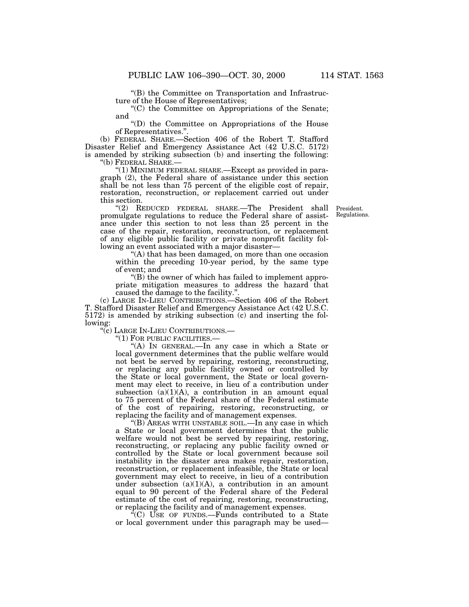''(B) the Committee on Transportation and Infrastructure of the House of Representatives;

''(C) the Committee on Appropriations of the Senate; and

''(D) the Committee on Appropriations of the House of Representatives.''.

(b) FEDERAL SHARE.—Section 406 of the Robert T. Stafford Disaster Relief and Emergency Assistance Act (42 U.S.C. 5172) is amended by striking subsection (b) and inserting the following: ''(b) FEDERAL SHARE.—

 $(1)$  MINIMUM FEDERAL SHARE.—Except as provided in paragraph (2), the Federal share of assistance under this section shall be not less than 75 percent of the eligible cost of repair, restoration, reconstruction, or replacement carried out under this section.

> President. Regulations.

''(2) REDUCED FEDERAL SHARE.—The President shall promulgate regulations to reduce the Federal share of assistance under this section to not less than 25 percent in the case of the repair, restoration, reconstruction, or replacement of any eligible public facility or private nonprofit facility following an event associated with a major disaster—

"(A) that has been damaged, on more than one occasion within the preceding 10-year period, by the same type of event; and

 $\mathrm{``(B)}$  the owner of which has failed to implement appropriate mitigation measures to address the hazard that caused the damage to the facility.''.

(c) LARGE IN-LIEU CONTRIBUTIONS.—Section 406 of the Robert T. Stafford Disaster Relief and Emergency Assistance Act (42 U.S.C. 5172) is amended by striking subsection (c) and inserting the following:

''(c) LARGE IN-LIEU CONTRIBUTIONS.—

''(1) FOR PUBLIC FACILITIES.—

''(A) IN GENERAL.—In any case in which a State or local government determines that the public welfare would not best be served by repairing, restoring, reconstructing, or replacing any public facility owned or controlled by the State or local government, the State or local government may elect to receive, in lieu of a contribution under subsection  $(a)(1)(A)$ , a contribution in an amount equal to 75 percent of the Federal share of the Federal estimate of the cost of repairing, restoring, reconstructing, or replacing the facility and of management expenses.

''(B) AREAS WITH UNSTABLE SOIL.—In any case in which a State or local government determines that the public welfare would not best be served by repairing, restoring, reconstructing, or replacing any public facility owned or controlled by the State or local government because soil instability in the disaster area makes repair, restoration, reconstruction, or replacement infeasible, the State or local government may elect to receive, in lieu of a contribution under subsection  $(a)(1)(A)$ , a contribution in an amount equal to 90 percent of the Federal share of the Federal estimate of the cost of repairing, restoring, reconstructing, or replacing the facility and of management expenses.

 $\tilde{f}(C)$  USE OF FUNDS.—Funds contributed to a State or local government under this paragraph may be used—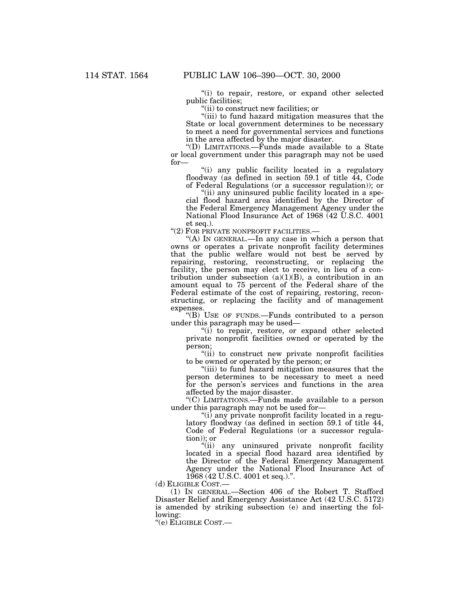"(i) to repair, restore, or expand other selected public facilities;

''(ii) to construct new facilities; or

''(iii) to fund hazard mitigation measures that the State or local government determines to be necessary to meet a need for governmental services and functions in the area affected by the major disaster.

''(D) LIMITATIONS.—Funds made available to a State or local government under this paragraph may not be used for—

''(i) any public facility located in a regulatory floodway (as defined in section 59.1 of title 44, Code of Federal Regulations (or a successor regulation)); or

"(ii) any uninsured public facility located in a special flood hazard area identified by the Director of the Federal Emergency Management Agency under the National Flood Insurance Act of 1968 (42 U.S.C. 4001 et seq.).

"(2) FOR PRIVATE NONPROFIT FACILITIES.-

''(A) IN GENERAL.—In any case in which a person that owns or operates a private nonprofit facility determines that the public welfare would not best be served by repairing, restoring, reconstructing, or replacing the facility, the person may elect to receive, in lieu of a contribution under subsection  $(a)(1)(B)$ , a contribution in an amount equal to 75 percent of the Federal share of the Federal estimate of the cost of repairing, restoring, reconstructing, or replacing the facility and of management expenses.

''(B) USE OF FUNDS.—Funds contributed to a person under this paragraph may be used—

"(i) to repair, restore, or expand other selected private nonprofit facilities owned or operated by the person;

''(ii) to construct new private nonprofit facilities to be owned or operated by the person; or

''(iii) to fund hazard mitigation measures that the person determines to be necessary to meet a need for the person's services and functions in the area affected by the major disaster.

''(C) LIMITATIONS.—Funds made available to a person under this paragraph may not be used for—

''(i) any private nonprofit facility located in a regulatory floodway (as defined in section 59.1 of title 44, Code of Federal Regulations (or a successor regulation)); or

''(ii) any uninsured private nonprofit facility located in a special flood hazard area identified by the Director of the Federal Emergency Management Agency under the National Flood Insurance Act of 1968 (42 U.S.C. 4001 et seq.).''.

(d) ELIGIBLE COST.—

(1) IN GENERAL.—Section 406 of the Robert T. Stafford Disaster Relief and Emergency Assistance Act (42 U.S.C. 5172) is amended by striking subsection (e) and inserting the following:

''(e) ELIGIBLE COST.—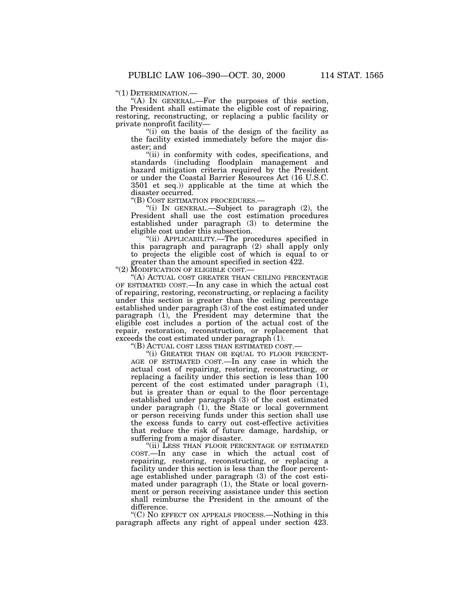''(1) DETERMINATION.— ''(A) IN GENERAL.—For the purposes of this section, the President shall estimate the eligible cost of repairing, restoring, reconstructing, or replacing a public facility or private nonprofit facility—

" $(i)$  on the basis of the design of the facility as the facility existed immediately before the major disaster; and

"(ii) in conformity with codes, specifications, and standards (including floodplain management and hazard mitigation criteria required by the President or under the Coastal Barrier Resources Act (16 U.S.C. 3501 et seq.)) applicable at the time at which the disaster occurred.

''(B) COST ESTIMATION PROCEDURES.—

''(i) IN GENERAL.—Subject to paragraph (2), the President shall use the cost estimation procedures established under paragraph (3) to determine the eligible cost under this subsection.

''(ii) APPLICABILITY.—The procedures specified in this paragraph and paragraph (2) shall apply only to projects the eligible cost of which is equal to or greater than the amount specified in section 422.

"(2) MODIFICATION OF ELIGIBLE COST.—

"(A) ACTUAL COST GREATER THAN CEILING PERCENTAGE OF ESTIMATED COST.—In any case in which the actual cost of repairing, restoring, reconstructing, or replacing a facility under this section is greater than the ceiling percentage established under paragraph (3) of the cost estimated under paragraph (1), the President may determine that the eligible cost includes a portion of the actual cost of the repair, restoration, reconstruction, or replacement that exceeds the cost estimated under paragraph (1).

''(B) ACTUAL COST LESS THAN ESTIMATED COST.—

''(i) GREATER THAN OR EQUAL TO FLOOR PERCENT-AGE OF ESTIMATED COST.—In any case in which the actual cost of repairing, restoring, reconstructing, or replacing a facility under this section is less than 100 percent of the cost estimated under paragraph (1), but is greater than or equal to the floor percentage established under paragraph (3) of the cost estimated under paragraph (1), the State or local government or person receiving funds under this section shall use the excess funds to carry out cost-effective activities that reduce the risk of future damage, hardship, or suffering from a major disaster.

"(ii) LESS THAN FLOOR PERCENTAGE OF ESTIMATED COST.—In any case in which the actual cost of repairing, restoring, reconstructing, or replacing a facility under this section is less than the floor percentage established under paragraph (3) of the cost estimated under paragraph (1), the State or local government or person receiving assistance under this section shall reimburse the President in the amount of the difference.

''(C) NO EFFECT ON APPEALS PROCESS.—Nothing in this paragraph affects any right of appeal under section 423.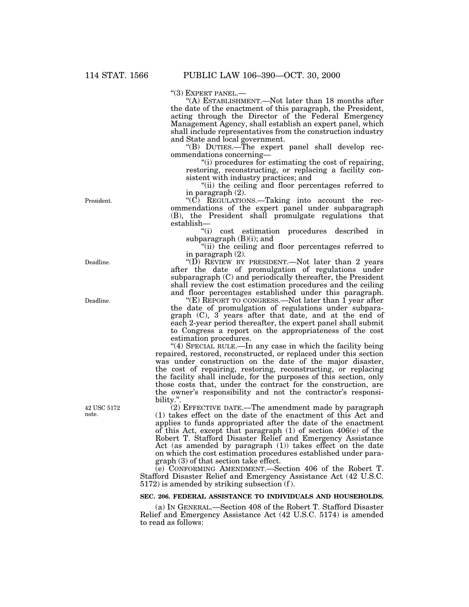''(3) EXPERT PANEL.— ''(A) ESTABLISHMENT.—Not later than 18 months after the date of the enactment of this paragraph, the President, acting through the Director of the Federal Emergency Management Agency, shall establish an expert panel, which shall include representatives from the construction industry and State and local government.

''(B) DUTIES.—The expert panel shall develop recommendations concerning—

''(i) procedures for estimating the cost of repairing, restoring, reconstructing, or replacing a facility consistent with industry practices; and

"(ii) the ceiling and floor percentages referred to in paragraph (2).

 $\rm ^{\prime\prime}(C)$  REGULATIONS.—Taking into account the recommendations of the expert panel under subparagraph (B), the President shall promulgate regulations that establish—

''(i) cost estimation procedures described in subparagraph  $(B)(i)$ ; and

"(ii) the ceiling and floor percentages referred to in paragraph (2).

"(D) REVIEW BY PRESIDENT.—Not later than 2 years after the date of promulgation of regulations under subparagraph (C) and periodically thereafter, the President shall review the cost estimation procedures and the ceiling and floor percentages established under this paragraph.

''(E) REPORT TO CONGRESS.—Not later than 1 year after the date of promulgation of regulations under subparagraph (C), 3 years after that date, and at the end of each 2-year period thereafter, the expert panel shall submit to Congress a report on the appropriateness of the cost estimation procedures.

''(4) SPECIAL RULE.—In any case in which the facility being repaired, restored, reconstructed, or replaced under this section was under construction on the date of the major disaster, the cost of repairing, restoring, reconstructing, or replacing the facility shall include, for the purposes of this section, only those costs that, under the contract for the construction, are the owner's responsibility and not the contractor's responsibility."

(2) EFFECTIVE DATE.—The amendment made by paragraph (1) takes effect on the date of the enactment of this Act and applies to funds appropriated after the date of the enactment of this Act, except that paragraph (1) of section 406(e) of the Robert T. Stafford Disaster Relief and Emergency Assistance Act (as amended by paragraph (1)) takes effect on the date on which the cost estimation procedures established under paragraph (3) of that section take effect.

(e) CONFORMING AMENDMENT.—Section 406 of the Robert T. Stafford Disaster Relief and Emergency Assistance Act (42 U.S.C. 5172) is amended by striking subsection (f ).

#### **SEC. 206. FEDERAL ASSISTANCE TO INDIVIDUALS AND HOUSEHOLDS.**

(a) IN GENERAL.—Section 408 of the Robert T. Stafford Disaster Relief and Emergency Assistance Act (42 U.S.C. 5174) is amended to read as follows:

President.

Deadline.

Deadline.

42 USC 5172 note.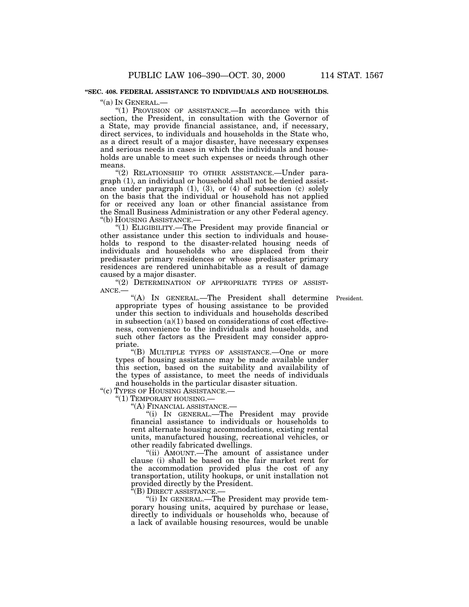#### **''SEC. 408. FEDERAL ASSISTANCE TO INDIVIDUALS AND HOUSEHOLDS.**

''(a) IN GENERAL.—

''(1) PROVISION OF ASSISTANCE.—In accordance with this section, the President, in consultation with the Governor of a State, may provide financial assistance, and, if necessary, direct services, to individuals and households in the State who, as a direct result of a major disaster, have necessary expenses and serious needs in cases in which the individuals and households are unable to meet such expenses or needs through other means.

"(2) RELATIONSHIP TO OTHER ASSISTANCE.-Under paragraph (1), an individual or household shall not be denied assistance under paragraph (1), (3), or (4) of subsection (c) solely on the basis that the individual or household has not applied for or received any loan or other financial assistance from the Small Business Administration or any other Federal agency. ''(b) HOUSING ASSISTANCE.—

''(1) ELIGIBILITY.—The President may provide financial or other assistance under this section to individuals and households to respond to the disaster-related housing needs of individuals and households who are displaced from their predisaster primary residences or whose predisaster primary residences are rendered uninhabitable as a result of damage caused by a major disaster.

"(2) DETERMINATION OF APPROPRIATE TYPES OF ASSIST-ANCE.—

President.

''(A) IN GENERAL.—The President shall determine appropriate types of housing assistance to be provided under this section to individuals and households described in subsection (a)(1) based on considerations of cost effectiveness, convenience to the individuals and households, and such other factors as the President may consider appropriate.

''(B) MULTIPLE TYPES OF ASSISTANCE.—One or more types of housing assistance may be made available under this section, based on the suitability and availability of the types of assistance, to meet the needs of individuals and households in the particular disaster situation.

"(c) TYPES OF HOUSING ASSISTANCE.-

''(1) TEMPORARY HOUSING.—

''(A) FINANCIAL ASSISTANCE.—

''(i) IN GENERAL.—The President may provide financial assistance to individuals or households to rent alternate housing accommodations, existing rental units, manufactured housing, recreational vehicles, or other readily fabricated dwellings.

"(ii) AMOUNT.—The amount of assistance under clause (i) shall be based on the fair market rent for the accommodation provided plus the cost of any transportation, utility hookups, or unit installation not provided directly by the President.

''(B) DIRECT ASSISTANCE.—

''(i) IN GENERAL.—The President may provide temporary housing units, acquired by purchase or lease, directly to individuals or households who, because of a lack of available housing resources, would be unable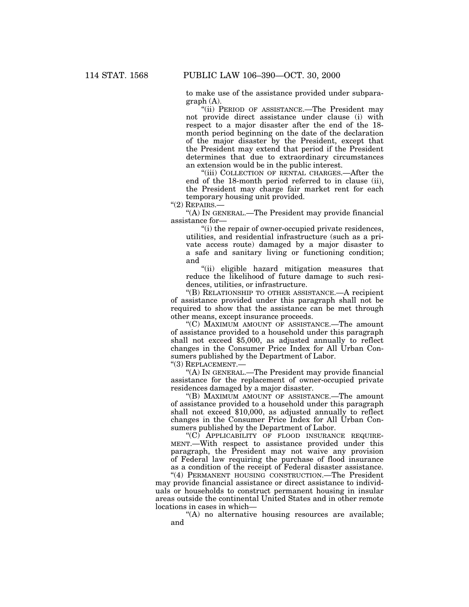to make use of the assistance provided under subparagraph (A).

''(ii) PERIOD OF ASSISTANCE.—The President may not provide direct assistance under clause (i) with respect to a major disaster after the end of the 18 month period beginning on the date of the declaration of the major disaster by the President, except that the President may extend that period if the President determines that due to extraordinary circumstances an extension would be in the public interest.

"(iii) COLLECTION OF RENTAL CHARGES.—After the end of the 18-month period referred to in clause (ii), the President may charge fair market rent for each temporary housing unit provided.

 $''(2)$  REPAIRS.-

''(A) IN GENERAL.—The President may provide financial assistance for—

''(i) the repair of owner-occupied private residences, utilities, and residential infrastructure (such as a private access route) damaged by a major disaster to a safe and sanitary living or functioning condition; and

''(ii) eligible hazard mitigation measures that reduce the likelihood of future damage to such residences, utilities, or infrastructure.

''(B) RELATIONSHIP TO OTHER ASSISTANCE.—A recipient of assistance provided under this paragraph shall not be required to show that the assistance can be met through other means, except insurance proceeds.

''(C) MAXIMUM AMOUNT OF ASSISTANCE.—The amount of assistance provided to a household under this paragraph shall not exceed \$5,000, as adjusted annually to reflect changes in the Consumer Price Index for All Urban Consumers published by the Department of Labor.

''(3) REPLACEMENT.—

''(A) IN GENERAL.—The President may provide financial assistance for the replacement of owner-occupied private residences damaged by a major disaster.

''(B) MAXIMUM AMOUNT OF ASSISTANCE.—The amount of assistance provided to a household under this paragraph shall not exceed \$10,000, as adjusted annually to reflect changes in the Consumer Price Index for All Urban Consumers published by the Department of Labor.

''(C) APPLICABILITY OF FLOOD INSURANCE REQUIRE-MENT.—With respect to assistance provided under this paragraph, the President may not waive any provision of Federal law requiring the purchase of flood insurance as a condition of the receipt of Federal disaster assistance.

"(4) PERMANENT HOUSING CONSTRUCTION. The President may provide financial assistance or direct assistance to individuals or households to construct permanent housing in insular areas outside the continental United States and in other remote locations in cases in which—

''(A) no alternative housing resources are available; and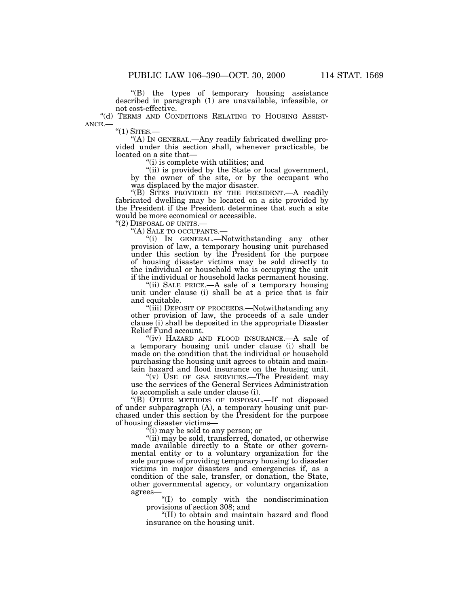''(B) the types of temporary housing assistance described in paragraph (1) are unavailable, infeasible, or not cost-effective.

''(d) TERMS AND CONDITIONS RELATING TO HOUSING ASSIST-ANCE.—

 $"$ (1) SITES.-

''(A) IN GENERAL.—Any readily fabricated dwelling provided under this section shall, whenever practicable, be located on a site that—

''(i) is complete with utilities; and

"(ii) is provided by the State or local government, by the owner of the site, or by the occupant who was displaced by the major disaster.

''(B) SITES PROVIDED BY THE PRESIDENT.—A readily fabricated dwelling may be located on a site provided by the President if the President determines that such a site would be more economical or accessible.

"(2) DISPOSAL OF UNITS.-

''(A) SALE TO OCCUPANTS.—

''(i) IN GENERAL.—Notwithstanding any other provision of law, a temporary housing unit purchased under this section by the President for the purpose of housing disaster victims may be sold directly to the individual or household who is occupying the unit if the individual or household lacks permanent housing.

''(ii) SALE PRICE.—A sale of a temporary housing unit under clause (i) shall be at a price that is fair and equitable.

''(iii) DEPOSIT OF PROCEEDS.—Notwithstanding any other provision of law, the proceeds of a sale under clause (i) shall be deposited in the appropriate Disaster Relief Fund account.

''(iv) HAZARD AND FLOOD INSURANCE.—A sale of a temporary housing unit under clause (i) shall be made on the condition that the individual or household purchasing the housing unit agrees to obtain and maintain hazard and flood insurance on the housing unit.

''(v) USE OF GSA SERVICES.—The President may use the services of the General Services Administration to accomplish a sale under clause (i).

''(B) OTHER METHODS OF DISPOSAL.—If not disposed of under subparagraph (A), a temporary housing unit purchased under this section by the President for the purpose of housing disaster victims—

''(i) may be sold to any person; or

''(ii) may be sold, transferred, donated, or otherwise made available directly to a State or other governmental entity or to a voluntary organization for the sole purpose of providing temporary housing to disaster victims in major disasters and emergencies if, as a condition of the sale, transfer, or donation, the State, other governmental agency, or voluntary organization agrees—

''(I) to comply with the nondiscrimination provisions of section 308; and

''(II) to obtain and maintain hazard and flood insurance on the housing unit.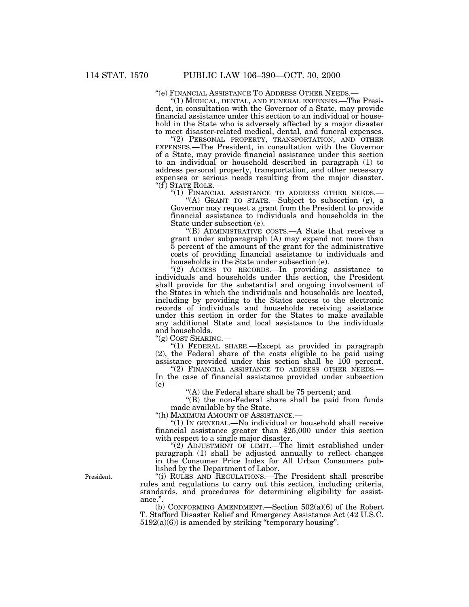''(e) FINANCIAL ASSISTANCE TO ADDRESS OTHER NEEDS.— ''(1) MEDICAL, DENTAL, AND FUNERAL EXPENSES.—The President, in consultation with the Governor of a State, may provide financial assistance under this section to an individual or household in the State who is adversely affected by a major disaster to meet disaster-related medical, dental, and funeral expenses.

"(2) PERSONAL PROPERTY, TRANSPORTATION, AND OTHER EXPENSES.—The President, in consultation with the Governor of a State, may provide financial assistance under this section to an individual or household described in paragraph (1) to address personal property, transportation, and other necessary expenses or serious needs resulting from the major disaster. " $(f)$  State Role.-

''(1) FINANCIAL ASSISTANCE TO ADDRESS OTHER NEEDS.—

"(A) GRANT TO STATE.—Subject to subsection  $(g)$ , a Governor may request a grant from the President to provide financial assistance to individuals and households in the State under subsection (e).

''(B) ADMINISTRATIVE COSTS.—A State that receives a grant under subparagraph (A) may expend not more than 5 percent of the amount of the grant for the administrative costs of providing financial assistance to individuals and households in the State under subsection (e).

''(2) ACCESS TO RECORDS.—In providing assistance to individuals and households under this section, the President shall provide for the substantial and ongoing involvement of the States in which the individuals and households are located, including by providing to the States access to the electronic records of individuals and households receiving assistance under this section in order for the States to make available any additional State and local assistance to the individuals and households.

"(g) COST SHARING .-

''(1) FEDERAL SHARE.—Except as provided in paragraph (2), the Federal share of the costs eligible to be paid using assistance provided under this section shall be 100 percent.

"(2) FINANCIAL ASSISTANCE TO ADDRESS OTHER NEEDS.-In the case of financial assistance provided under subsection  $(e)$ —

''(A) the Federal share shall be 75 percent; and

''(B) the non-Federal share shall be paid from funds made available by the State.

''(h) MAXIMUM AMOUNT OF ASSISTANCE.—

''(1) IN GENERAL.—No individual or household shall receive financial assistance greater than \$25,000 under this section with respect to a single major disaster.

"(2) ADJUSTMENT OF LIMIT.—The limit established under paragraph (1) shall be adjusted annually to reflect changes in the Consumer Price Index for All Urban Consumers published by the Department of Labor.

''(i) RULES AND REGULATIONS.—The President shall prescribe rules and regulations to carry out this section, including criteria, standards, and procedures for determining eligibility for assistance.''.

(b) CONFORMING AMENDMENT.—Section 502(a)(6) of the Robert T. Stafford Disaster Relief and Emergency Assistance Act (42 U.S.C.  $5192(a)(6)$ ) is amended by striking "temporary housing".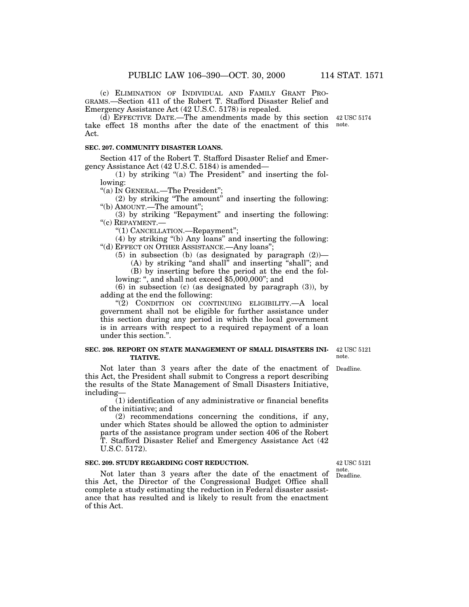(c) ELIMINATION OF INDIVIDUAL AND FAMILY GRANT PRO-GRAMS.—Section 411 of the Robert T. Stafford Disaster Relief and Emergency Assistance Act (42 U.S.C. 5178) is repealed.

(d) EFFECTIVE DATE.—The amendments made by this section take effect 18 months after the date of the enactment of this Act.

### **SEC. 207. COMMUNITY DISASTER LOANS.**

Section 417 of the Robert T. Stafford Disaster Relief and Emergency Assistance Act (42 U.S.C. 5184) is amended—

(1) by striking ''(a) The President'' and inserting the following:

''(a) IN GENERAL.—The President'';

(2) by striking "The amount" and inserting the following: ''(b) AMOUNT.—The amount'';

(3) by striking ''Repayment'' and inserting the following: ''(c) REPAYMENT.—

''(1) CANCELLATION.—Repayment'';

(4) by striking ''(b) Any loans'' and inserting the following: ''(d) EFFECT ON OTHER ASSISTANCE.—Any loans'';

- (5) in subsection (b) (as designated by paragraph (2))—
	- (A) by striking "and shall" and inserting "shall"; and

(B) by inserting before the period at the end the following: ", and shall not exceed \$5,000,000"; and

(6) in subsection (c) (as designated by paragraph (3)), by adding at the end the following:

''(2) CONDITION ON CONTINUING ELIGIBILITY.—A local government shall not be eligible for further assistance under this section during any period in which the local government is in arrears with respect to a required repayment of a loan under this section.''.

### **SEC. 208. REPORT ON STATE MANAGEMENT OF SMALL DISASTERS INI-TIATIVE.**

Not later than 3 years after the date of the enactment of Deadline. this Act, the President shall submit to Congress a report describing the results of the State Management of Small Disasters Initiative, including—

 $(1)$  identification of any administrative or financial benefits of the initiative; and

(2) recommendations concerning the conditions, if any, under which States should be allowed the option to administer parts of the assistance program under section 406 of the Robert T. Stafford Disaster Relief and Emergency Assistance Act (42 U.S.C. 5172).

## **SEC. 209. STUDY REGARDING COST REDUCTION.**

Not later than 3 years after the date of the enactment of this Act, the Director of the Congressional Budget Office shall complete a study estimating the reduction in Federal disaster assistance that has resulted and is likely to result from the enactment of this Act.

Deadline. 42 USC 5121 note.

42 USC 5121

note.

42 USC 5174 note.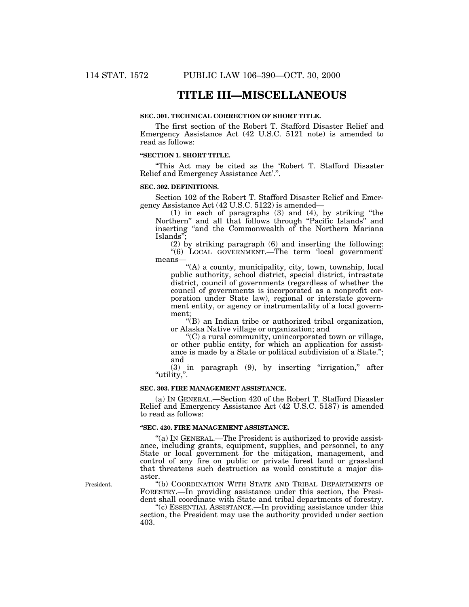## **TITLE III—MISCELLANEOUS**

## **SEC. 301. TECHNICAL CORRECTION OF SHORT TITLE.**

The first section of the Robert T. Stafford Disaster Relief and Emergency Assistance Act (42 U.S.C. 5121 note) is amended to read as follows:

#### **''SECTION 1. SHORT TITLE.**

''This Act may be cited as the 'Robert T. Stafford Disaster Relief and Emergency Assistance Act'.''.

#### **SEC. 302. DEFINITIONS.**

Section 102 of the Robert T. Stafford Disaster Relief and Emergency Assistance Act (42 U.S.C. 5122) is amended—

(1) in each of paragraphs (3) and (4), by striking ''the Northern'' and all that follows through ''Pacific Islands'' and inserting ''and the Commonwealth of the Northern Mariana Islands'';

(2) by striking paragraph (6) and inserting the following: ''(6) LOCAL GOVERNMENT.—The term 'local government' means—

''(A) a county, municipality, city, town, township, local public authority, school district, special district, intrastate district, council of governments (regardless of whether the council of governments is incorporated as a nonprofit corporation under State law), regional or interstate government entity, or agency or instrumentality of a local government;

''(B) an Indian tribe or authorized tribal organization, or Alaska Native village or organization; and

''(C) a rural community, unincorporated town or village, or other public entity, for which an application for assistance is made by a State or political subdivision of a State.''; and

(3) in paragraph (9), by inserting ''irrigation,'' after "utility,".

## **SEC. 303. FIRE MANAGEMENT ASSISTANCE.**

(a) IN GENERAL.—Section 420 of the Robert T. Stafford Disaster Relief and Emergency Assistance Act (42 U.S.C. 5187) is amended to read as follows:

#### **''SEC. 420. FIRE MANAGEMENT ASSISTANCE.**

''(a) IN GENERAL.—The President is authorized to provide assistance, including grants, equipment, supplies, and personnel, to any State or local government for the mitigation, management, and control of any fire on public or private forest land or grassland that threatens such destruction as would constitute a major disaster.

"(b) COORDINATION WITH STATE AND TRIBAL DEPARTMENTS OF FORESTRY.—In providing assistance under this section, the President shall coordinate with State and tribal departments of forestry.

''(c) ESSENTIAL ASSISTANCE.—In providing assistance under this section, the President may use the authority provided under section 403.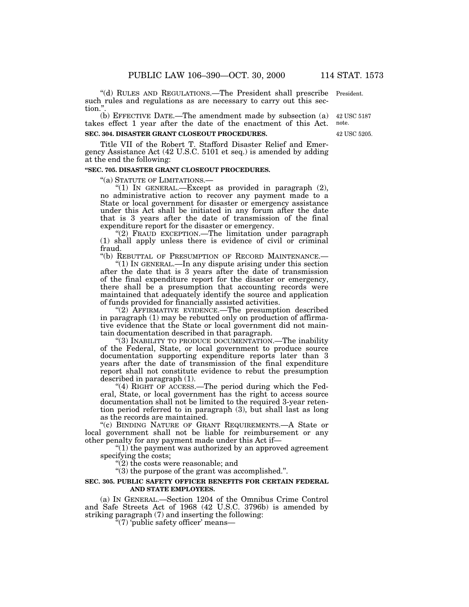''(d) RULES AND REGULATIONS.—The President shall prescribe President. such rules and regulations as are necessary to carry out this section."

(b) EFFECTIVE DATE.—The amendment made by subsection (a) takes effect 1 year after the date of the enactment of this Act.

## **SEC. 304. DISASTER GRANT CLOSEOUT PROCEDURES.**

Title VII of the Robert T. Stafford Disaster Relief and Emergency Assistance Act (42 U.S.C. 5101 et seq.) is amended by adding at the end the following:

## **''SEC. 705. DISASTER GRANT CLOSEOUT PROCEDURES.**

''(a) STATUTE OF LIMITATIONS.— ''(1) IN GENERAL.—Except as provided in paragraph (2), no administrative action to recover any payment made to a State or local government for disaster or emergency assistance under this Act shall be initiated in any forum after the date that is 3 years after the date of transmission of the final expenditure report for the disaster or emergency.

''(2) FRAUD EXCEPTION.—The limitation under paragraph (1) shall apply unless there is evidence of civil or criminal fraud.<br>"(b) Rebuttal of Presumption of Record Maintenance.—

"(1) IN GENERAL.—In any dispute arising under this section after the date that is 3 years after the date of transmission of the final expenditure report for the disaster or emergency, there shall be a presumption that accounting records were maintained that adequately identify the source and application of funds provided for financially assisted activities.

"(2) AFFIRMATIVE EVIDENCE.—The presumption described in paragraph (1) may be rebutted only on production of affirmative evidence that the State or local government did not maintain documentation described in that paragraph.

''(3) INABILITY TO PRODUCE DOCUMENTATION.—The inability of the Federal, State, or local government to produce source documentation supporting expenditure reports later than 3 years after the date of transmission of the final expenditure report shall not constitute evidence to rebut the presumption described in paragraph (1).

"(4) RIGHT OF ACCESS.—The period during which the Federal, State, or local government has the right to access source documentation shall not be limited to the required 3-year retention period referred to in paragraph (3), but shall last as long as the records are maintained.

''(c) BINDING NATURE OF GRANT REQUIREMENTS.—A State or local government shall not be liable for reimbursement or any other penalty for any payment made under this Act if—

 $(1)$  the payment was authorized by an approved agreement specifying the costs;

 $'(2)$  the costs were reasonable; and

''(3) the purpose of the grant was accomplished.''.

### **SEC. 305. PUBLIC SAFETY OFFICER BENEFITS FOR CERTAIN FEDERAL AND STATE EMPLOYEES.**

(a) IN GENERAL.—Section 1204 of the Omnibus Crime Control and Safe Streets Act of 1968 (42 U.S.C. 3796b) is amended by striking paragraph  $(7)$  and inserting the following:

''(7) 'public safety officer' means—

42 USC 5187 note.

42 USC 5205.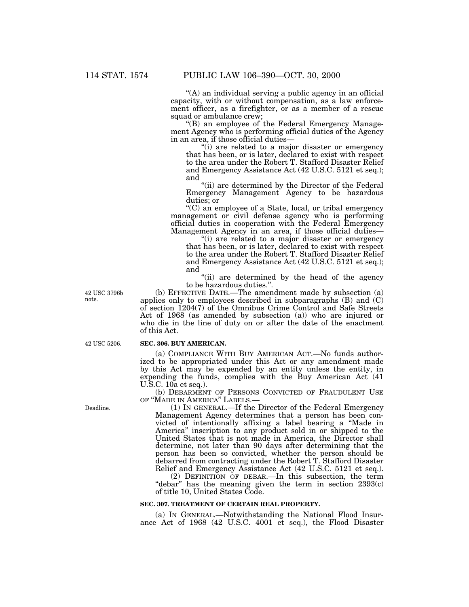''(A) an individual serving a public agency in an official capacity, with or without compensation, as a law enforcement officer, as a firefighter, or as a member of a rescue squad or ambulance crew;

''(B) an employee of the Federal Emergency Management Agency who is performing official duties of the Agency in an area, if those official duties—

"(i) are related to a major disaster or emergency that has been, or is later, declared to exist with respect to the area under the Robert T. Stafford Disaster Relief and Emergency Assistance Act (42 U.S.C. 5121 et seq.); and

"(ii) are determined by the Director of the Federal Emergency Management Agency to be hazardous duties; or

''(C) an employee of a State, local, or tribal emergency management or civil defense agency who is performing official duties in cooperation with the Federal Emergency Management Agency in an area, if those official duties—

"(i) are related to a major disaster or emergency that has been, or is later, declared to exist with respect to the area under the Robert T. Stafford Disaster Relief and Emergency Assistance Act (42 U.S.C. 5121 et seq.); and

''(ii) are determined by the head of the agency to be hazardous duties.''.

(b) EFFECTIVE DATE.—The amendment made by subsection (a) applies only to employees described in subparagraphs (B) and (C) of section 1204(7) of the Omnibus Crime Control and Safe Streets Act of 1968 (as amended by subsection (a)) who are injured or who die in the line of duty on or after the date of the enactment of this Act.

#### **SEC. 306. BUY AMERICAN.**

(a) COMPLIANCE WITH BUY AMERICAN ACT.—No funds authorized to be appropriated under this Act or any amendment made by this Act may be expended by an entity unless the entity, in expending the funds, complies with the Buy American Act (41 U.S.C. 10a et seq.).

(b) DEBARMENT OF PERSONS CONVICTED OF FRAUDULENT USE OF "MADE IN AMERICA" LABELS.-

(1) IN GENERAL.—If the Director of the Federal Emergency Management Agency determines that a person has been convicted of intentionally affixing a label bearing a ''Made in America'' inscription to any product sold in or shipped to the United States that is not made in America, the Director shall determine, not later than 90 days after determining that the person has been so convicted, whether the person should be debarred from contracting under the Robert T. Stafford Disaster Relief and Emergency Assistance Act (42 U.S.C. 5121 et seq.).

(2) DEFINITION OF DEBAR.—In this subsection, the term "debar" has the meaning given the term in section 2393(c) of title 10, United States Code.

#### **SEC. 307. TREATMENT OF CERTAIN REAL PROPERTY.**

(a) IN GENERAL.—Notwithstanding the National Flood Insurance Act of 1968 (42 U.S.C. 4001 et seq.), the Flood Disaster

42 USC 3796b note.

42 USC 5206.

Deadline.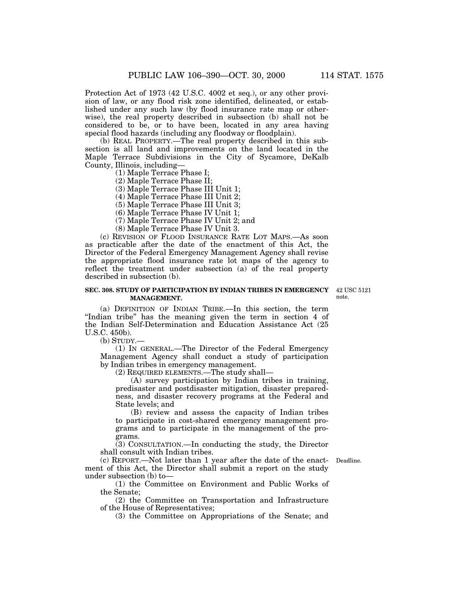Protection Act of 1973 (42 U.S.C. 4002 et seq.), or any other provision of law, or any flood risk zone identified, delineated, or established under any such law (by flood insurance rate map or otherwise), the real property described in subsection (b) shall not be considered to be, or to have been, located in any area having special flood hazards (including any floodway or floodplain).

(b) REAL PROPERTY.—The real property described in this subsection is all land and improvements on the land located in the Maple Terrace Subdivisions in the City of Sycamore, DeKalb County, Illinois, including—

(1) Maple Terrace Phase I;

(2) Maple Terrace Phase II;

(3) Maple Terrace Phase III Unit 1;

(4) Maple Terrace Phase III Unit 2;

(5) Maple Terrace Phase III Unit 3;

(6) Maple Terrace Phase IV Unit 1;

(7) Maple Terrace Phase IV Unit 2; and

(8) Maple Terrace Phase IV Unit 3.

(c) REVISION OF FLOOD INSURANCE RATE LOT MAPS.—As soon as practicable after the date of the enactment of this Act, the Director of the Federal Emergency Management Agency shall revise the appropriate flood insurance rate lot maps of the agency to reflect the treatment under subsection (a) of the real property described in subsection (b).

#### **SEC. 308. STUDY OF PARTICIPATION BY INDIAN TRIBES IN EMERGENCY** 42 USC 5121 **MANAGEMENT.**

note.

(a) DEFINITION OF INDIAN TRIBE.—In this section, the term ''Indian tribe'' has the meaning given the term in section 4 of the Indian Self-Determination and Education Assistance Act (25 U.S.C. 450b).

(b) STUDY.—

(1) IN GENERAL.—The Director of the Federal Emergency Management Agency shall conduct a study of participation by Indian tribes in emergency management.

(2) REQUIRED ELEMENTS.—The study shall—

(A) survey participation by Indian tribes in training, predisaster and postdisaster mitigation, disaster preparedness, and disaster recovery programs at the Federal and State levels; and

(B) review and assess the capacity of Indian tribes to participate in cost-shared emergency management programs and to participate in the management of the programs.

(3) CONSULTATION.—In conducting the study, the Director shall consult with Indian tribes.

Deadline.

(c) REPORT.—Not later than 1 year after the date of the enactment of this Act, the Director shall submit a report on the study under subsection (b) to—

(1) the Committee on Environment and Public Works of the Senate;

(2) the Committee on Transportation and Infrastructure of the House of Representatives;

(3) the Committee on Appropriations of the Senate; and